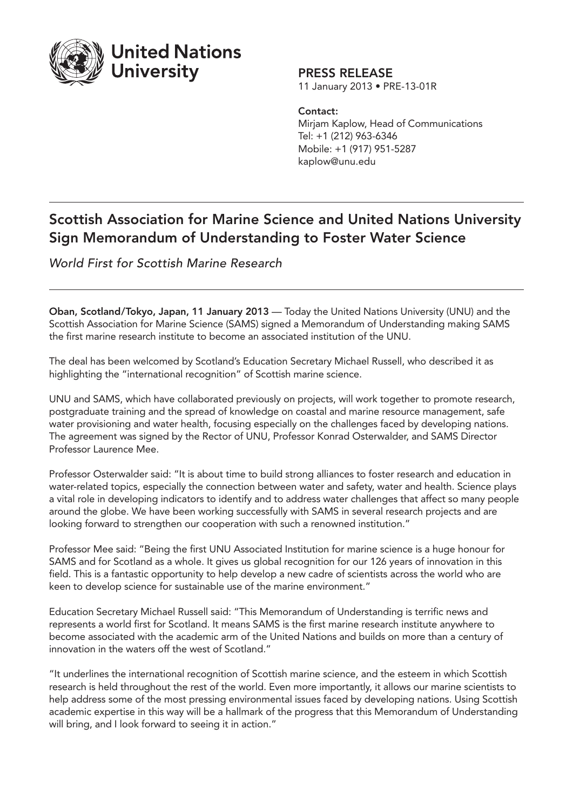

## PRESS RELEASE

11 January 2013 • PRE-13-01R

Contact: Mirjam Kaplow, Head of Communications Tel: +1 (212) 963-6346 Mobile: +1 (917) 951-5287 kaplow@unu.edu

## Scottish Association for Marine Science and United Nations University Sign Memorandum of Understanding to Foster Water Science

*World First for Scottish Marine Research*

Oban, Scotland/Tokyo, Japan, 11 January 2013 — Today the United Nations University (UNU) and the Scottish Association for Marine Science (SAMS) signed a Memorandum of Understanding making SAMS the first marine research institute to become an associated institution of the UNU.

The deal has been welcomed by Scotland's Education Secretary Michael Russell, who described it as highlighting the "international recognition" of Scottish marine science.

UNU and SAMS, which have collaborated previously on projects, will work together to promote research, postgraduate training and the spread of knowledge on coastal and marine resource management, safe water provisioning and water health, focusing especially on the challenges faced by developing nations. The agreement was signed by the Rector of UNU, Professor Konrad Osterwalder, and SAMS Director Professor Laurence Mee.

Professor Osterwalder said: "It is about time to build strong alliances to foster research and education in water-related topics, especially the connection between water and safety, water and health. Science plays a vital role in developing indicators to identify and to address water challenges that affect so many people around the globe. We have been working successfully with SAMS in several research projects and are looking forward to strengthen our cooperation with such a renowned institution."

Professor Mee said: "Being the first UNU Associated Institution for marine science is a huge honour for SAMS and for Scotland as a whole. It gives us global recognition for our 126 years of innovation in this field. This is a fantastic opportunity to help develop a new cadre of scientists across the world who are keen to develop science for sustainable use of the marine environment."

Education Secretary Michael Russell said: "This Memorandum of Understanding is terrific news and represents a world first for Scotland. It means SAMS is the first marine research institute anywhere to become associated with the academic arm of the United Nations and builds on more than a century of innovation in the waters off the west of Scotland."

"It underlines the international recognition of Scottish marine science, and the esteem in which Scottish research is held throughout the rest of the world. Even more importantly, it allows our marine scientists to help address some of the most pressing environmental issues faced by developing nations. Using Scottish academic expertise in this way will be a hallmark of the progress that this Memorandum of Understanding will bring, and I look forward to seeing it in action."